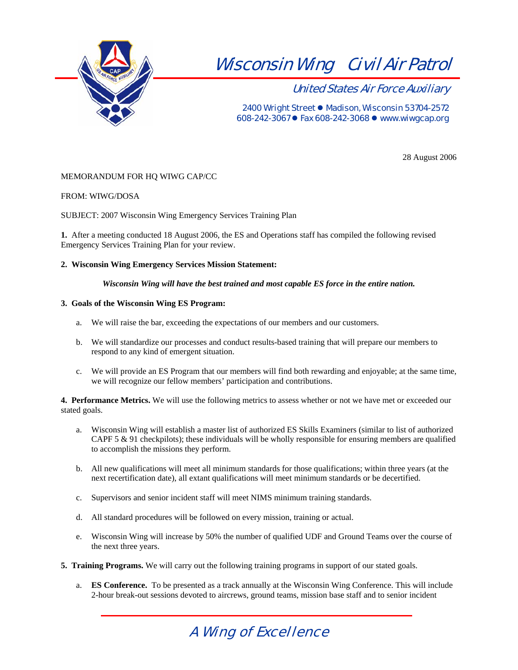

United States Air Force Auxiliary

2400 Wright Street • Madison, Wisconsin 53704-2572 608-242-3067  $\bullet$  Fax 608-242-3068  $\bullet$  www.wiwgcap.org

28 August 2006

### MEMORANDUM FOR HQ WIWG CAP/CC

#### FROM: WIWG/DOSA

SUBJECT: 2007 Wisconsin Wing Emergency Services Training Plan

**1.** After a meeting conducted 18 August 2006, the ES and Operations staff has compiled the following revised Emergency Services Training Plan for your review.

#### **2. Wisconsin Wing Emergency Services Mission Statement:**

*Wisconsin Wing will have the best trained and most capable ES force in the entire nation.*

#### **3. Goals of the Wisconsin Wing ES Program:**

- a. We will raise the bar, exceeding the expectations of our members and our customers.
- b. We will standardize our processes and conduct results-based training that will prepare our members to respond to any kind of emergent situation.
- c. We will provide an ES Program that our members will find both rewarding and enjoyable; at the same time, we will recognize our fellow members' participation and contributions.

**4. Performance Metrics.** We will use the following metrics to assess whether or not we have met or exceeded our stated goals.

- a. Wisconsin Wing will establish a master list of authorized ES Skills Examiners (similar to list of authorized CAPF 5 & 91 checkpilots); these individuals will be wholly responsible for ensuring members are qualified to accomplish the missions they perform.
- b. All new qualifications will meet all minimum standards for those qualifications; within three years (at the next recertification date), all extant qualifications will meet minimum standards or be decertified.
- c. Supervisors and senior incident staff will meet NIMS minimum training standards.
- d. All standard procedures will be followed on every mission, training or actual.
- e. Wisconsin Wing will increase by 50% the number of qualified UDF and Ground Teams over the course of the next three years.
- **5. Training Programs.** We will carry out the following training programs in support of our stated goals.
	- a. **ES Conference.** To be presented as a track annually at the Wisconsin Wing Conference. This will include 2-hour break-out sessions devoted to aircrews, ground teams, mission base staff and to senior incident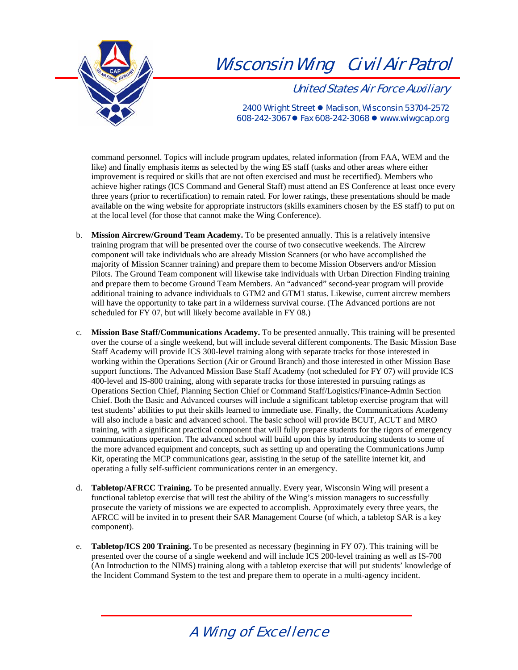

United States Air Force Auxiliary

2400 Wright Street • Madison, Wisconsin 53704-2572 608-242-3067 ● Fax 608-242-3068 ● www.wiwgcap.org

command personnel. Topics will include program updates, related information (from FAA, WEM and the like) and finally emphasis items as selected by the wing ES staff (tasks and other areas where either improvement is required or skills that are not often exercised and must be recertified). Members who achieve higher ratings (ICS Command and General Staff) must attend an ES Conference at least once every three years (prior to recertification) to remain rated. For lower ratings, these presentations should be made available on the wing website for appropriate instructors (skills examiners chosen by the ES staff) to put on at the local level (for those that cannot make the Wing Conference).

- b. **Mission Aircrew/Ground Team Academy.** To be presented annually. This is a relatively intensive training program that will be presented over the course of two consecutive weekends. The Aircrew component will take individuals who are already Mission Scanners (or who have accomplished the majority of Mission Scanner training) and prepare them to become Mission Observers and/or Mission Pilots. The Ground Team component will likewise take individuals with Urban Direction Finding training and prepare them to become Ground Team Members. An "advanced" second-year program will provide additional training to advance individuals to GTM2 and GTM1 status. Likewise, current aircrew members will have the opportunity to take part in a wilderness survival course. (The Advanced portions are not scheduled for FY 07, but will likely become available in FY 08.)
- c. **Mission Base Staff/Communications Academy.** To be presented annually. This training will be presented over the course of a single weekend, but will include several different components. The Basic Mission Base Staff Academy will provide ICS 300-level training along with separate tracks for those interested in working within the Operations Section (Air or Ground Branch) and those interested in other Mission Base support functions. The Advanced Mission Base Staff Academy (not scheduled for FY 07) will provide ICS 400-level and IS-800 training, along with separate tracks for those interested in pursuing ratings as Operations Section Chief, Planning Section Chief or Command Staff/Logistics/Finance-Admin Section Chief. Both the Basic and Advanced courses will include a significant tabletop exercise program that will test students' abilities to put their skills learned to immediate use. Finally, the Communications Academy will also include a basic and advanced school. The basic school will provide BCUT, ACUT and MRO training, with a significant practical component that will fully prepare students for the rigors of emergency communications operation. The advanced school will build upon this by introducing students to some of the more advanced equipment and concepts, such as setting up and operating the Communications Jump Kit, operating the MCP communications gear, assisting in the setup of the satellite internet kit, and operating a fully self-sufficient communications center in an emergency.
- d. **Tabletop/AFRCC Training.** To be presented annually. Every year, Wisconsin Wing will present a functional tabletop exercise that will test the ability of the Wing's mission managers to successfully prosecute the variety of missions we are expected to accomplish. Approximately every three years, the AFRCC will be invited in to present their SAR Management Course (of which, a tabletop SAR is a key component).
- e. **Tabletop/ICS 200 Training.** To be presented as necessary (beginning in FY 07). This training will be presented over the course of a single weekend and will include ICS 200-level training as well as IS-700 (An Introduction to the NIMS) training along with a tabletop exercise that will put students' knowledge of the Incident Command System to the test and prepare them to operate in a multi-agency incident.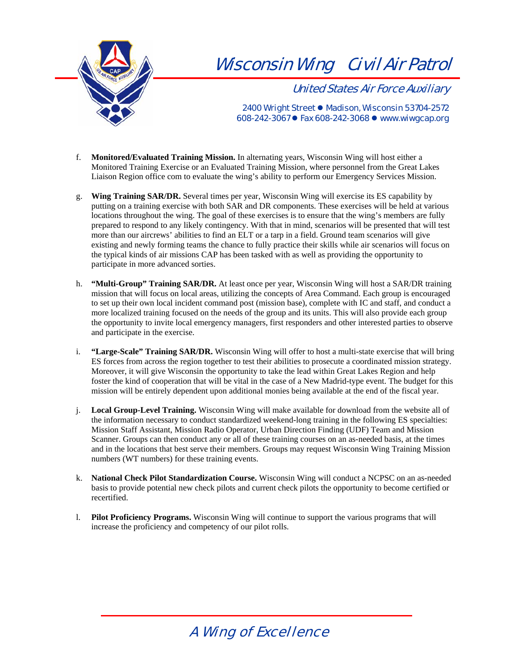

United States Air Force Auxiliary

2400 Wright Street • Madison, Wisconsin 53704-2572 608-242-3067  $\bullet$  Fax 608-242-3068  $\bullet$  www.wiwgcap.org

- f. **Monitored/Evaluated Training Mission.** In alternating years, Wisconsin Wing will host either a Monitored Training Exercise or an Evaluated Training Mission, where personnel from the Great Lakes Liaison Region office com to evaluate the wing's ability to perform our Emergency Services Mission.
- g. **Wing Training SAR/DR.** Several times per year, Wisconsin Wing will exercise its ES capability by putting on a training exercise with both SAR and DR components. These exercises will be held at various locations throughout the wing. The goal of these exercises is to ensure that the wing's members are fully prepared to respond to any likely contingency. With that in mind, scenarios will be presented that will test more than our aircrews' abilities to find an ELT or a tarp in a field. Ground team scenarios will give existing and newly forming teams the chance to fully practice their skills while air scenarios will focus on the typical kinds of air missions CAP has been tasked with as well as providing the opportunity to participate in more advanced sorties.
- h. **"Multi-Group" Training SAR/DR.** At least once per year, Wisconsin Wing will host a SAR/DR training mission that will focus on local areas, utilizing the concepts of Area Command. Each group is encouraged to set up their own local incident command post (mission base), complete with IC and staff, and conduct a more localized training focused on the needs of the group and its units. This will also provide each group the opportunity to invite local emergency managers, first responders and other interested parties to observe and participate in the exercise.
- i. **"Large-Scale" Training SAR/DR.** Wisconsin Wing will offer to host a multi-state exercise that will bring ES forces from across the region together to test their abilities to prosecute a coordinated mission strategy. Moreover, it will give Wisconsin the opportunity to take the lead within Great Lakes Region and help foster the kind of cooperation that will be vital in the case of a New Madrid-type event. The budget for this mission will be entirely dependent upon additional monies being available at the end of the fiscal year.
- j. **Local Group-Level Training.** Wisconsin Wing will make available for download from the website all of the information necessary to conduct standardized weekend-long training in the following ES specialties: Mission Staff Assistant, Mission Radio Operator, Urban Direction Finding (UDF) Team and Mission Scanner. Groups can then conduct any or all of these training courses on an as-needed basis, at the times and in the locations that best serve their members. Groups may request Wisconsin Wing Training Mission numbers (WT numbers) for these training events.
- k. **National Check Pilot Standardization Course.** Wisconsin Wing will conduct a NCPSC on an as-needed basis to provide potential new check pilots and current check pilots the opportunity to become certified or recertified.
- l. **Pilot Proficiency Programs.** Wisconsin Wing will continue to support the various programs that will increase the proficiency and competency of our pilot rolls.